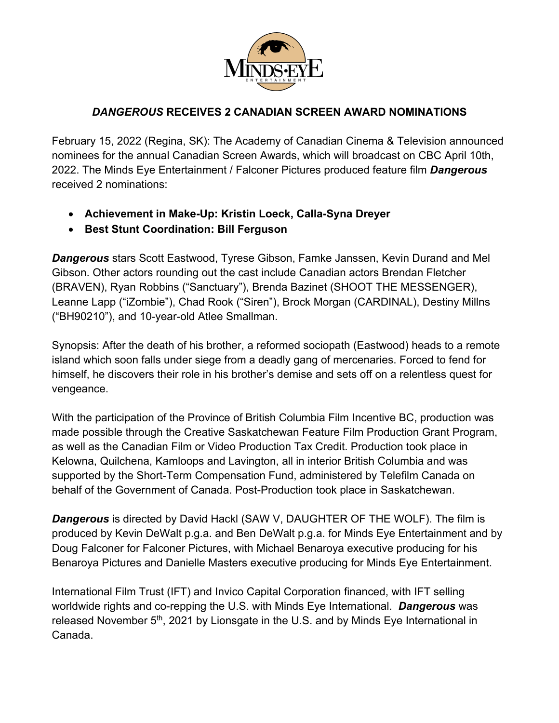

## *DANGEROUS* **RECEIVES 2 CANADIAN SCREEN AWARD NOMINATIONS**

February 15, 2022 (Regina, SK): The Academy of Canadian Cinema & Television announced nominees for the annual Canadian Screen Awards, which will broadcast on CBC April 10th, 2022. The Minds Eye Entertainment / Falconer Pictures produced feature film *Dangerous* received 2 nominations:

- **Achievement in Make-Up: Kristin Loeck, Calla-Syna Dreyer**
- **Best Stunt Coordination: Bill Ferguson**

*Dangerous* stars Scott Eastwood, Tyrese Gibson, Famke Janssen, Kevin Durand and Mel Gibson. Other actors rounding out the cast include Canadian actors Brendan Fletcher (BRAVEN), Ryan Robbins ("Sanctuary"), Brenda Bazinet (SHOOT THE MESSENGER), Leanne Lapp ("iZombie"), Chad Rook ("Siren"), Brock Morgan (CARDINAL), Destiny Millns ("BH90210"), and 10-year-old Atlee Smallman.

Synopsis: After the death of his brother, a reformed sociopath (Eastwood) heads to a remote island which soon falls under siege from a deadly gang of mercenaries. Forced to fend for himself, he discovers their role in his brother's demise and sets off on a relentless quest for vengeance.

With the participation of the Province of British Columbia Film Incentive BC, production was made possible through the Creative Saskatchewan Feature Film Production Grant Program, as well as the Canadian Film or Video Production Tax Credit. Production took place in Kelowna, Quilchena, Kamloops and Lavington, all in interior British Columbia and was supported by the Short-Term Compensation Fund, administered by Telefilm Canada on behalf of the Government of Canada. Post-Production took place in Saskatchewan.

*Dangerous* is directed by David Hackl (SAW V, DAUGHTER OF THE WOLF). The film is produced by Kevin DeWalt p.g.a. and Ben DeWalt p.g.a. for Minds Eye Entertainment and by Doug Falconer for Falconer Pictures, with Michael Benaroya executive producing for his Benaroya Pictures and Danielle Masters executive producing for Minds Eye Entertainment.

International Film Trust (IFT) and Invico Capital Corporation financed, with IFT selling worldwide rights and co-repping the U.S. with Minds Eye International. *Dangerous* was released November 5<sup>th</sup>, 2021 by Lionsgate in the U.S. and by Minds Eye International in Canada.